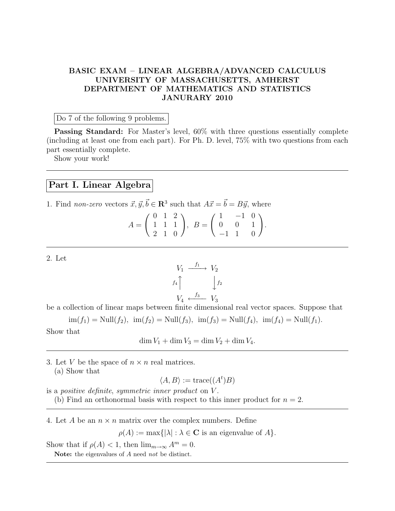## BASIC EXAM – LINEAR ALGEBRA/ADVANCED CALCULUS UNIVERSITY OF MASSACHUSETTS, AMHERST DEPARTMENT OF MATHEMATICS AND STATISTICS JANURARY 2010

Do 7 of the following 9 problems.

Passing Standard: For Master's level, 60% with three questions essentially complete (including at least one from each part). For Ph. D. level, 75% with two questions from each part essentially complete.

Show your work!

## Part I. Linear Algebra

1. Find non-zero vectors  $\vec{x}, \vec{y}, \vec{b} \in \mathbb{R}^3$  such that  $A\vec{x} = \vec{b} = B\vec{y}$ , where

$$
A = \begin{pmatrix} 0 & 1 & 2 \\ 1 & 1 & 1 \\ 2 & 1 & 0 \end{pmatrix}, \ B = \begin{pmatrix} 1 & -1 & 0 \\ 0 & 0 & 1 \\ -1 & 1 & 0 \end{pmatrix}.
$$

2. Let

$$
V_1 \xrightarrow{f_1} V_2
$$
  

$$
f_4 \uparrow \qquad \qquad f_2
$$
  

$$
V_4 \xleftarrow{f_3} V_3
$$

be a collection of linear maps between finite dimensional real vector spaces. Suppose that

 $\text{im}(f_1) = \text{Null}(f_2), \ \text{im}(f_2) = \text{Null}(f_3), \ \text{im}(f_3) = \text{Null}(f_4), \ \text{im}(f_4) = \text{Null}(f_1).$ Show that

 $\dim V_1 + \dim V_3 = \dim V_2 + \dim V_4.$ 

3. Let V be the space of  $n \times n$  real matrices. (a) Show that

 $\langle A, B \rangle := \text{trace}((A^t)B)$ 

is a positive definite, symmetric inner product on V . (b) Find an orthonormal basis with respect to this inner product for  $n = 2$ .

4. Let A be an  $n \times n$  matrix over the complex numbers. Define

 $\rho(A) := \max\{|\lambda| : \lambda \in \mathbf{C}$  is an eigenvalue of  $A\}.$ 

Show that if  $\rho(A) < 1$ , then  $\lim_{m \to \infty} A^m = 0$ .

Note: the eigenvalues of A need not be distinct.